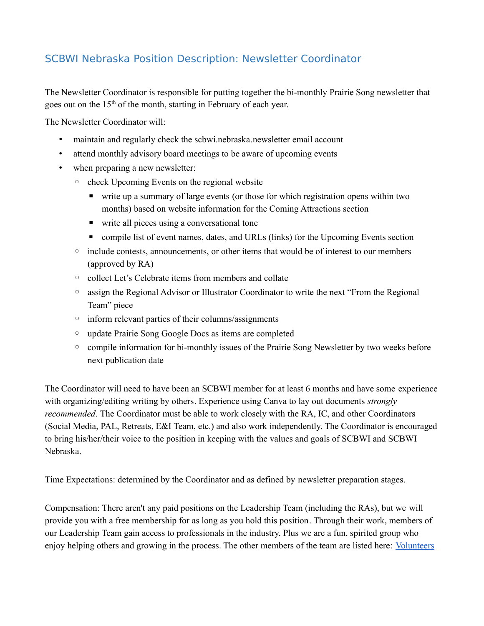## SCBWI Nebraska Position Description: Newsletter Coordinator

The Newsletter Coordinator is responsible for putting together the bi-monthly Prairie Song newsletter that goes out on the 15<sup>th</sup> of the month, starting in February of each year.

The Newsletter Coordinator will:

- maintain and regularly check the scbwi.nebraska.newsletter email account
- attend monthly advisory board meetings to be aware of upcoming events
- when preparing a new newsletter:
	- check Upcoming Events on the regional website
		- write up a summary of large events (or those for which registration opens within two months) based on website information for the Coming Attractions section
		- write all pieces using a conversational tone
		- compile list of event names, dates, and URLs (links) for the Upcoming Events section
	- include contests, announcements, or other items that would be of interest to our members (approved by RA)
	- collect Let's Celebrate items from members and collate
	- assign the Regional Advisor or Illustrator Coordinator to write the next "From the Regional Team" piece
	- inform relevant parties of their columns/assignments
	- update Prairie Song Google Docs as items are completed
	- compile information for bi-monthly issues of the Prairie Song Newsletter by two weeks before next publication date

The Coordinator will need to have been an SCBWI member for at least 6 months and have some experience with organizing/editing writing by others. Experience using Canva to lay out documents *strongly recommended*. The Coordinator must be able to work closely with the RA, IC, and other Coordinators (Social Media, PAL, Retreats, E&I Team, etc.) and also work independently. The Coordinator is encouraged to bring his/her/their voice to the position in keeping with the values and goals of SCBWI and SCBWI Nebraska.

Time Expectations: determined by the Coordinator and as defined by newsletter preparation stages.

Compensation: There aren't any paid positions on the Leadership Team (including the RAs), but we will provide you with a free membership for as long as you hold this position. Through their work, members of our Leadership Team gain access to professionals in the industry. Plus we are a fun, spirited group who enjoy helping others and growing in the process. The other members of the team are listed here: Volunteers